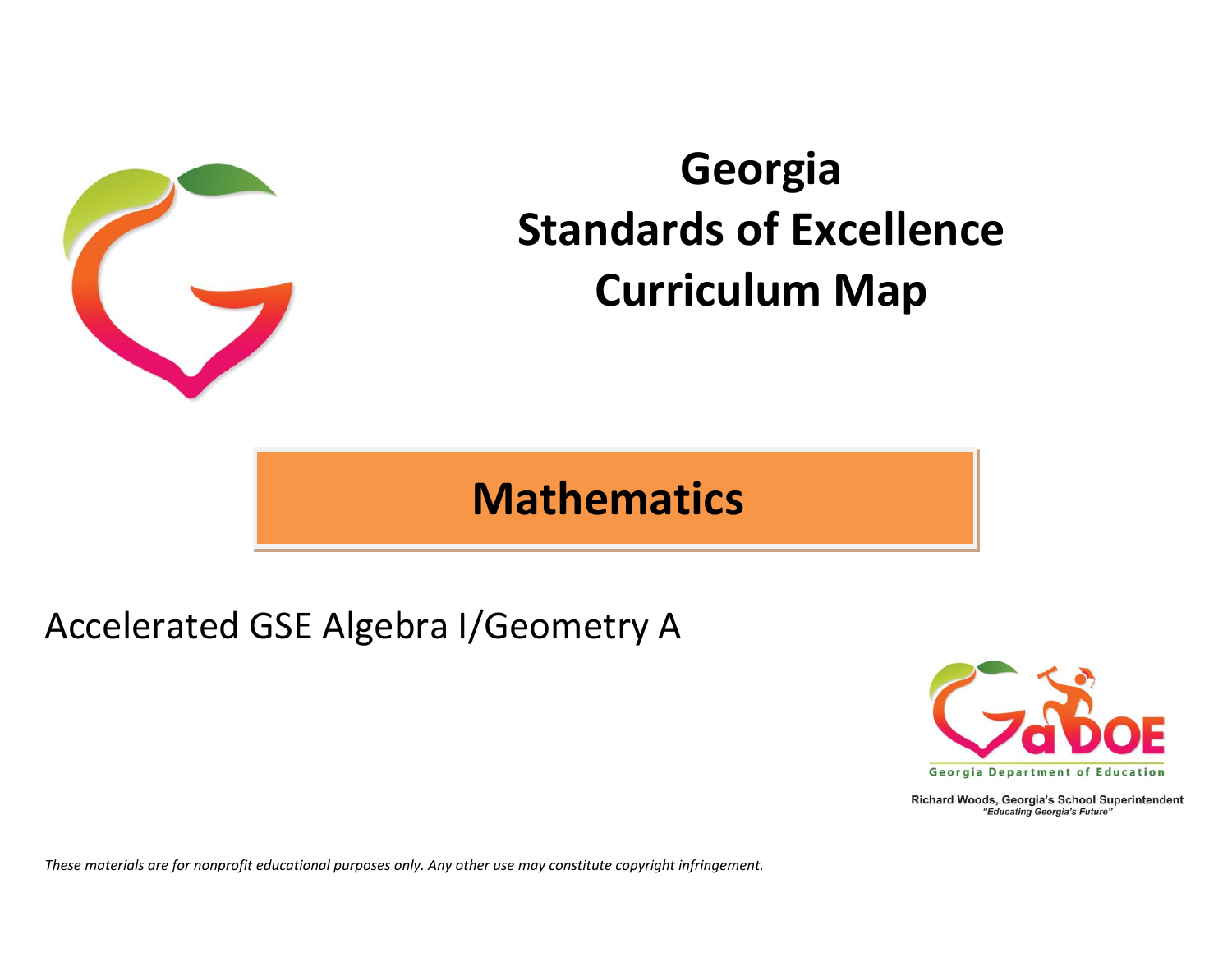

# **Georgia Standards of Excellence Curriculum Map**

## **Mathematics**

## Accelerated GSE Algebra I/Geometry A



Richard Woods, Georgia's School Superintendent "Educating Georgia's Future"

*These materials are for nonprofit educational purposes only. Any other use may constitute copyright infringement.*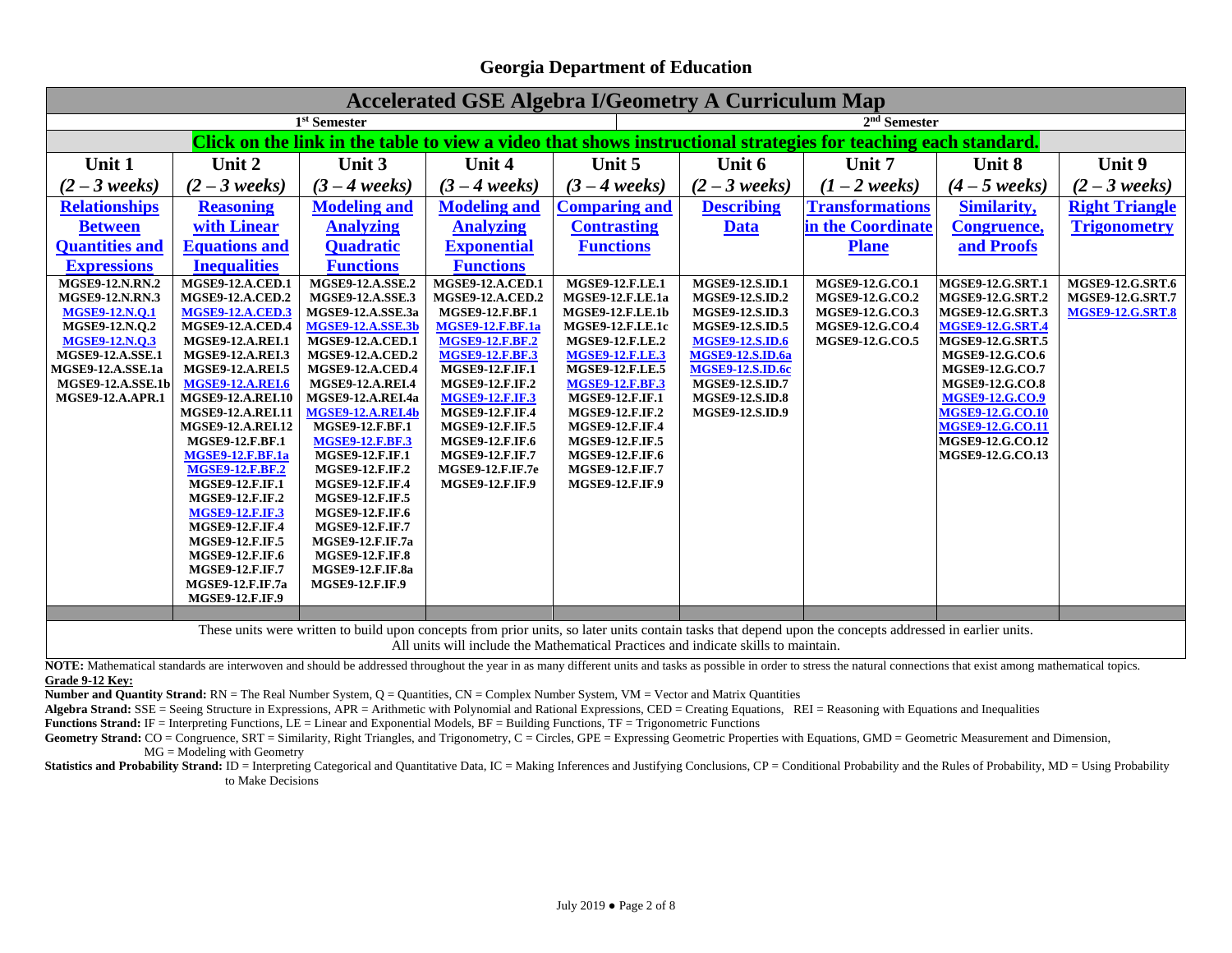| <b>Accelerated GSE Algebra I/Geometry A Curriculum Map</b>                                                                                                                                                                                     |                          |                          |                         |                         |                         |                                                                                                                |                         |                         |
|------------------------------------------------------------------------------------------------------------------------------------------------------------------------------------------------------------------------------------------------|--------------------------|--------------------------|-------------------------|-------------------------|-------------------------|----------------------------------------------------------------------------------------------------------------|-------------------------|-------------------------|
| 1 <sup>st</sup> Semester<br>$2nd$ Semester                                                                                                                                                                                                     |                          |                          |                         |                         |                         |                                                                                                                |                         |                         |
|                                                                                                                                                                                                                                                |                          |                          |                         |                         |                         | Click on the link in the table to view a video that shows instructional strategies for teaching each standard. |                         |                         |
| Unit 1                                                                                                                                                                                                                                         | Unit 2                   | Unit 3                   | Unit 4                  | Unit 5                  | Unit 6                  | Unit 7                                                                                                         | Unit 8                  | Unit 9                  |
| $(2-3 \text{ weeks})$                                                                                                                                                                                                                          | $(2-3 \text{ weeks})$    | $(3 - 4 \text{ weeks})$  | $(3 - 4 \text{ weeks})$ | $(3 - 4 \text{ weeks})$ | $(2-3 \text{ weeks})$   | $(1-2 \text{ weeks})$                                                                                          | $(4-5 \text{ weeks})$   | $(2-3 \text{ weeks})$   |
| <b>Relationships</b>                                                                                                                                                                                                                           | <b>Reasoning</b>         | <b>Modeling and</b>      | <b>Modeling and</b>     | <b>Comparing and</b>    | <b>Describing</b>       | <b>Transformations</b>                                                                                         | <b>Similarity,</b>      | <b>Right Triangle</b>   |
| <b>Between</b>                                                                                                                                                                                                                                 | with Linear              | <b>Analyzing</b>         | <b>Analyzing</b>        | <b>Contrasting</b>      | <b>Data</b>             | in the Coordinate                                                                                              | <b>Congruence,</b>      | <b>Trigonometry</b>     |
| <b>Quantities and</b>                                                                                                                                                                                                                          | <b>Equations and</b>     | <b>Quadratic</b>         | <b>Exponential</b>      | <b>Functions</b>        |                         | <b>Plane</b>                                                                                                   | and Proofs              |                         |
| <b>Expressions</b>                                                                                                                                                                                                                             | <b>Inequalities</b>      | <b>Functions</b>         | <b>Functions</b>        |                         |                         |                                                                                                                |                         |                         |
| <b>MGSE9-12.N.RN.2</b>                                                                                                                                                                                                                         | <b>MGSE9-12.A.CED.1</b>  | <b>MGSE9-12.A.SSE.2</b>  | <b>MGSE9-12.A.CED.1</b> | <b>MGSE9-12.F.LE.1</b>  | MGSE9-12.S.ID.1         | MGSE9-12.G.CO.1                                                                                                | <b>MGSE9-12.G.SRT.1</b> | <b>MGSE9-12.G.SRT.6</b> |
| <b>MGSE9-12.N.RN.3</b>                                                                                                                                                                                                                         | <b>MGSE9-12.A.CED.2</b>  | MGSE9-12.A.SSE.3         | MGSE9-12.A.CED.2        | <b>MGSE9-12.F.LE.1a</b> | MGSE9-12.S.ID.2         | MGSE9-12.G.CO.2                                                                                                | <b>MGSE9-12.G.SRT.2</b> | <b>MGSE9-12.G.SRT.7</b> |
| <b>MGSE9-12.N.Q.1</b>                                                                                                                                                                                                                          | <b>MGSE9-12.A.CED.3</b>  | MGSE9-12.A.SSE.3a        | MGSE9-12.F.BF.1         | <b>MGSE9-12.F.LE.1b</b> | MGSE9-12.S.ID.3         | MGSE9-12.G.CO.3                                                                                                | MGSE9-12.G.SRT.3        | <b>MGSE9-12.G.SRT.8</b> |
| MGSE9-12.N.Q.2                                                                                                                                                                                                                                 | <b>MGSE9-12.A.CED.4</b>  | <b>MGSE9-12.A.SSE.3b</b> | <b>MGSE9-12.F.BF.1a</b> | <b>MGSE9-12.F.LE.1c</b> | MGSE9-12.S.ID.5         | MGSE9-12.G.CO.4                                                                                                | <b>MGSE9-12.G.SRT.4</b> |                         |
| <b>MGSE9-12.N.Q.3</b>                                                                                                                                                                                                                          | <b>MGSE9-12.A.REI.1</b>  | <b>MGSE9-12.A.CED.1</b>  | <b>MGSE9-12.F.BF.2</b>  | <b>MGSE9-12.F.LE.2</b>  | <b>MGSE9-12.S.ID.6</b>  | MGSE9-12.G.CO.5                                                                                                | <b>MGSE9-12.G.SRT.5</b> |                         |
| <b>MGSE9-12.A.SSE.1</b>                                                                                                                                                                                                                        | <b>MGSE9-12.A.REI.3</b>  | <b>MGSE9-12.A.CED.2</b>  | <b>MGSE9-12.F.BF.3</b>  | <b>MGSE9-12.F.LE.3</b>  | <b>MGSE9-12.S.ID.6a</b> |                                                                                                                | MGSE9-12.G.CO.6         |                         |
| <b>MGSE9-12.A.SSE.1a</b>                                                                                                                                                                                                                       | <b>MGSE9-12.A.REI.5</b>  | <b>MGSE9-12.A.CED.4</b>  | MGSE9-12.F.IF.1         | <b>MGSE9-12.F.LE.5</b>  | <b>MGSE9-12.S.ID.6c</b> |                                                                                                                | MGSE9-12.G.CO.7         |                         |
| MGSE9-12.A.SSE.1b                                                                                                                                                                                                                              | <b>MGSE9-12.A.REI.6</b>  | <b>MGSE9-12.A.REI.4</b>  | MGSE9-12.F.IF.2         | <b>MGSE9-12.F.BF.3</b>  | MGSE9-12.S.ID.7         |                                                                                                                | MGSE9-12.G.CO.8         |                         |
| <b>MGSE9-12.A.APR.1</b>                                                                                                                                                                                                                        | <b>MGSE9-12.A.REI.10</b> | MGSE9-12.A.REI.4a        | <b>MGSE9-12.F.IF.3</b>  | <b>MGSE9-12.F.IF.1</b>  | <b>MGSE9-12.S.ID.8</b>  |                                                                                                                | <b>MGSE9-12.G.CO.9</b>  |                         |
|                                                                                                                                                                                                                                                | <b>MGSE9-12.A.REI.11</b> | <b>MGSE9-12.A.REI.4b</b> | <b>MGSE9-12.F.IF.4</b>  | <b>MGSE9-12.F.IF.2</b>  | MGSE9-12.S.ID.9         |                                                                                                                | MGSE9-12.G.CO.10        |                         |
|                                                                                                                                                                                                                                                | <b>MGSE9-12.A.REI.12</b> | MGSE9-12.F.BF.1          | MGSE9-12.F.IF.5         | <b>MGSE9-12.F.IF.4</b>  |                         |                                                                                                                | <b>MGSE9-12.G.CO.11</b> |                         |
|                                                                                                                                                                                                                                                | <b>MGSE9-12.F.BF.1</b>   | <b>MGSE9-12.F.BF.3</b>   | <b>MGSE9-12.F.IF.6</b>  | <b>MGSE9-12.F.IF.5</b>  |                         |                                                                                                                | MGSE9-12.G.CO.12        |                         |
|                                                                                                                                                                                                                                                | <b>MGSE9-12.F.BF.1a</b>  | MGSE9-12.F.IF.1          | MGSE9-12.F.IF.7         | <b>MGSE9-12.F.IF.6</b>  |                         |                                                                                                                | MGSE9-12.G.CO.13        |                         |
|                                                                                                                                                                                                                                                | <b>MGSE9-12.F.BF.2</b>   | MGSE9-12.F.IF.2          | <b>MGSE9-12.F.IF.7e</b> | <b>MGSE9-12.F.IF.7</b>  |                         |                                                                                                                |                         |                         |
|                                                                                                                                                                                                                                                | <b>MGSE9-12.F.IF.1</b>   | MGSE9-12.F.IF.4          | <b>MGSE9-12.F.IF.9</b>  | <b>MGSE9-12.F.IF.9</b>  |                         |                                                                                                                |                         |                         |
|                                                                                                                                                                                                                                                | MGSE9-12.F.IF.2          | <b>MGSE9-12.F.IF.5</b>   |                         |                         |                         |                                                                                                                |                         |                         |
|                                                                                                                                                                                                                                                | <b>MGSE9-12.F.IF.3</b>   | <b>MGSE9-12.F.IF.6</b>   |                         |                         |                         |                                                                                                                |                         |                         |
|                                                                                                                                                                                                                                                | <b>MGSE9-12.F.IF.4</b>   | <b>MGSE9-12.F.IF.7</b>   |                         |                         |                         |                                                                                                                |                         |                         |
|                                                                                                                                                                                                                                                | <b>MGSE9-12.F.IF.5</b>   | <b>MGSE9-12.F.IF.7a</b>  |                         |                         |                         |                                                                                                                |                         |                         |
|                                                                                                                                                                                                                                                | MGSE9-12.F.IF.6          | <b>MGSE9-12.F.IF.8</b>   |                         |                         |                         |                                                                                                                |                         |                         |
|                                                                                                                                                                                                                                                | MGSE9-12.F.IF.7          | <b>MGSE9-12.F.IF.8a</b>  |                         |                         |                         |                                                                                                                |                         |                         |
|                                                                                                                                                                                                                                                | <b>MGSE9-12.F.IF.7a</b>  | <b>MGSE9-12.F.IF.9</b>   |                         |                         |                         |                                                                                                                |                         |                         |
|                                                                                                                                                                                                                                                | MGSE9-12.F.IF.9          |                          |                         |                         |                         |                                                                                                                |                         |                         |
|                                                                                                                                                                                                                                                |                          |                          |                         |                         |                         |                                                                                                                |                         |                         |
| These units were written to build upon concepts from prior units, so later units contain tasks that depend upon the concepts addressed in earlier units.<br>All units will include the Mathematical Practices and indicate skills to maintain. |                          |                          |                         |                         |                         |                                                                                                                |                         |                         |

NOTE: Mathematical standards are interwoven and should be addressed throughout the year in as many different units and tasks as possible in order to stress the natural connections that exist among mathematical topics. **Grade 9-12 Key:**

**Number and Quantity Strand:** RN = The Real Number System, Q = Quantities, CN = Complex Number System, VM = Vector and Matrix Quantities

Algebra Strand: SSE = Seeing Structure in Expressions, APR = Arithmetic with Polynomial and Rational Expressions, CED = Creating Equations, REI = Reasoning with Equations and Inequalities

**Functions Strand:** IF = Interpreting Functions, LE = Linear and Exponential Models, BF = Building Functions, TF = Trigonometric Functions

Geometry Strand: CO = Congruence, SRT = Similarity, Right Triangles, and Trigonometry, C = Circles, GPE = Expressing Geometric Properties with Equations, GMD = Geometric Measurement and Dimension,  $MG = Modeling$  with Geometry

Statistics and Probability Strand: ID = Interpreting Categorical and Quantitative Data, IC = Making Inferences and Justifying Conclusions, CP = Conditional Probability and the Rules of Probability, MD = Using Probability to Make Decisions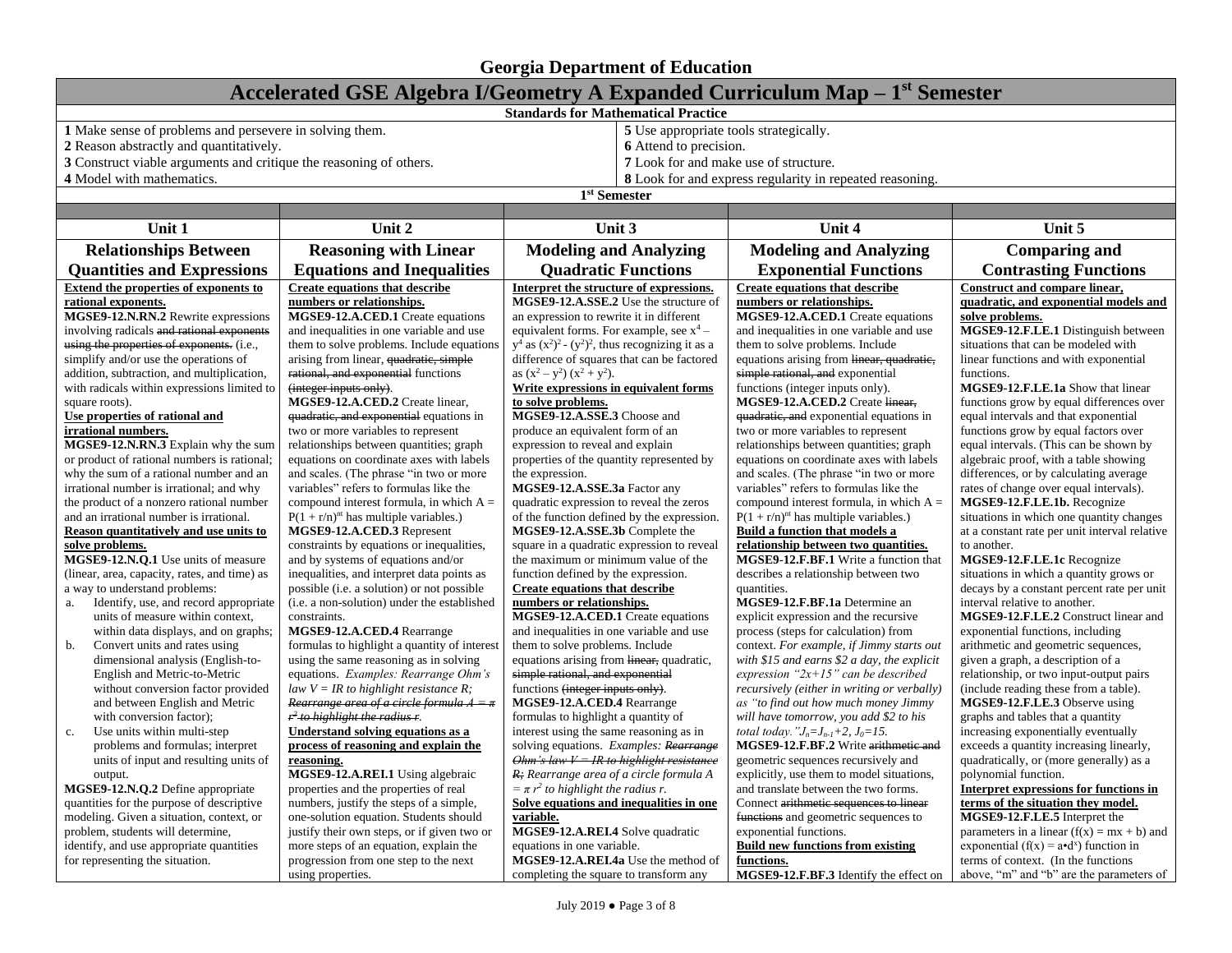| Accelerated GSE Algebra I/Geometry A Expanded Curriculum Map – 1 <sup>st</sup> Semester |                                                                                       |                                                                                      |                                                                                   |                                                                               |  |
|-----------------------------------------------------------------------------------------|---------------------------------------------------------------------------------------|--------------------------------------------------------------------------------------|-----------------------------------------------------------------------------------|-------------------------------------------------------------------------------|--|
| <b>Standards for Mathematical Practice</b>                                              |                                                                                       |                                                                                      |                                                                                   |                                                                               |  |
| 1 Make sense of problems and persevere in solving them.                                 |                                                                                       | 5 Use appropriate tools strategically.                                               |                                                                                   |                                                                               |  |
| 2 Reason abstractly and quantitatively.                                                 |                                                                                       | 6 Attend to precision.                                                               |                                                                                   |                                                                               |  |
| 3 Construct viable arguments and critique the reasoning of others.                      |                                                                                       |                                                                                      | 7 Look for and make use of structure.                                             |                                                                               |  |
| 4 Model with mathematics.                                                               |                                                                                       |                                                                                      | 8 Look for and express regularity in repeated reasoning.                          |                                                                               |  |
|                                                                                         |                                                                                       | 1 <sup>st</sup> Semester                                                             |                                                                                   |                                                                               |  |
|                                                                                         |                                                                                       |                                                                                      |                                                                                   |                                                                               |  |
| Unit 1                                                                                  | Unit 2                                                                                | Unit 3                                                                               | Unit 4                                                                            | Unit 5                                                                        |  |
| <b>Relationships Between</b>                                                            | <b>Reasoning with Linear</b>                                                          | <b>Modeling and Analyzing</b>                                                        | <b>Modeling and Analyzing</b>                                                     | <b>Comparing and</b>                                                          |  |
| <b>Quantities and Expressions</b>                                                       | <b>Equations and Inequalities</b>                                                     | <b>Quadratic Functions</b>                                                           | <b>Exponential Functions</b>                                                      | <b>Contrasting Functions</b>                                                  |  |
| Extend the properties of exponents to                                                   | <b>Create equations that describe</b>                                                 | Interpret the structure of expressions.                                              | <b>Create equations that describe</b>                                             | Construct and compare linear,                                                 |  |
| rational exponents.                                                                     | numbers or relationships.                                                             | MGSE9-12.A.SSE.2 Use the structure of                                                | numbers or relationships.                                                         | quadratic, and exponential models and                                         |  |
| MGSE9-12.N.RN.2 Rewrite expressions                                                     | MGSE9-12.A.CED.1 Create equations                                                     | an expression to rewrite it in different                                             | MGSE9-12.A.CED.1 Create equations                                                 | solve problems.                                                               |  |
| involving radicals and rational exponents                                               | and inequalities in one variable and use                                              | equivalent forms. For example, see $x^4$ –                                           | and inequalities in one variable and use                                          | MGSE9-12.F.LE.1 Distinguish between                                           |  |
| using the properties of exponents. (i.e.,                                               | them to solve problems. Include equations                                             | $y^4$ as $(x^2)^2 - (y^2)^2$ , thus recognizing it as a                              | them to solve problems. Include<br>equations arising from linear, quadratic,      | situations that can be modeled with                                           |  |
| simplify and/or use the operations of                                                   |                                                                                       | arising from linear, quadratic, simple<br>difference of squares that can be factored |                                                                                   | linear functions and with exponential                                         |  |
| addition, subtraction, and multiplication,                                              | rational, and exponential functions                                                   | as $(x^2 - y^2) (x^2 + y^2)$ .                                                       | simple rational, and exponential                                                  | functions.                                                                    |  |
| with radicals within expressions limited to                                             | (integer inputs only).<br>MGSE9-12.A.CED.2 Create linear,                             | Write expressions in equivalent forms<br>to solve problems.                          | functions (integer inputs only).<br>MGSE9-12.A.CED.2 Create linear,               | MGSE9-12.F.LE.1a Show that linear<br>functions grow by equal differences over |  |
| square roots).<br>Use properties of rational and                                        | quadratic, and exponential equations in                                               | MGSE9-12.A.SSE.3 Choose and                                                          | quadratic, and exponential equations in                                           | equal intervals and that exponential                                          |  |
| irrational numbers.                                                                     | two or more variables to represent<br>produce an equivalent form of an                |                                                                                      | two or more variables to represent                                                | functions grow by equal factors over                                          |  |
| MGSE9-12.N.RN.3 Explain why the sum                                                     | relationships between quantities; graph<br>expression to reveal and explain           |                                                                                      | relationships between quantities; graph                                           | equal intervals. (This can be shown by                                        |  |
| or product of rational numbers is rational;                                             | equations on coordinate axes with labels<br>properties of the quantity represented by |                                                                                      | equations on coordinate axes with labels                                          | algebraic proof, with a table showing                                         |  |
| why the sum of a rational number and an                                                 | and scales. (The phrase "in two or more                                               | the expression.                                                                      |                                                                                   | differences, or by calculating average                                        |  |
| irrational number is irrational; and why                                                | variables" refers to formulas like the                                                | MGSE9-12.A.SSE.3a Factor any                                                         | and scales. (The phrase "in two or more<br>variables" refers to formulas like the | rates of change over equal intervals).                                        |  |
| the product of a nonzero rational number                                                | compound interest formula, in which $A =$                                             | quadratic expression to reveal the zeros                                             | compound interest formula, in which $A =$                                         | MGSE9-12.F.LE.1b. Recognize                                                   |  |
| and an irrational number is irrational.                                                 | $P(1 + r/n)^{nt}$ has multiple variables.)                                            | of the function defined by the expression.                                           | $P(1 + r/n)^{nt}$ has multiple variables.)                                        | situations in which one quantity changes                                      |  |
| Reason quantitatively and use units to                                                  | MGSE9-12.A.CED.3 Represent                                                            | MGSE9-12.A.SSE.3b Complete the                                                       | Build a function that models a                                                    | at a constant rate per unit interval relative                                 |  |
| solve problems.                                                                         | constraints by equations or inequalities,                                             | square in a quadratic expression to reveal                                           | relationship between two quantities.                                              | to another.                                                                   |  |
| MGSE9-12.N.Q.1 Use units of measure                                                     | and by systems of equations and/or                                                    | the maximum or minimum value of the                                                  | MGSE9-12.F.BF.1 Write a function that                                             | MGSE9-12.F.LE.1c Recognize                                                    |  |
| (linear, area, capacity, rates, and time) as                                            | inequalities, and interpret data points as                                            | function defined by the expression.                                                  | describes a relationship between two                                              | situations in which a quantity grows or                                       |  |
| a way to understand problems:                                                           | possible (i.e. a solution) or not possible                                            | <b>Create equations that describe</b>                                                | quantities.                                                                       | decays by a constant percent rate per unit                                    |  |
| Identify, use, and record appropriate<br>a.<br>units of measure within context,         | (i.e. a non-solution) under the established<br>constraints.                           | numbers or relationships.<br>MGSE9-12.A.CED.1 Create equations                       | MGSE9-12.F.BF.1a Determine an<br>explicit expression and the recursive            | interval relative to another.<br>MGSE9-12.F.LE.2 Construct linear and         |  |
| within data displays, and on graphs;                                                    | MGSE9-12.A.CED.4 Rearrange                                                            | and inequalities in one variable and use                                             | process (steps for calculation) from                                              | exponential functions, including                                              |  |
| Convert units and rates using<br>b.                                                     | formulas to highlight a quantity of interest                                          | them to solve problems. Include                                                      | context. For example, if Jimmy starts out                                         | arithmetic and geometric sequences,                                           |  |
| dimensional analysis (English-to-                                                       | using the same reasoning as in solving                                                | equations arising from linear, quadratic,                                            | with \$15 and earns \$2 a day, the explicit                                       | given a graph, a description of a                                             |  |
| English and Metric-to-Metric                                                            | equations. Examples: Rearrange Ohm's                                                  | simple rational, and exponential                                                     | expression " $2x+15$ " can be described                                           | relationship, or two input-output pairs                                       |  |
| without conversion factor provided                                                      | law $V = IR$ to highlight resistance R;                                               | functions (integer inputs only).                                                     | recursively (either in writing or verbally)                                       | (include reading these from a table).                                         |  |
| and between English and Metric                                                          | Rearrange area of a circle formula $A = \pi$                                          | MGSE9-12.A.CED.4 Rearrange                                                           | as "to find out how much money Jimmy                                              | MGSE9-12.F.LE.3 Observe using                                                 |  |
| with conversion factor);                                                                | $r^2$ to highlight the radius r.                                                      | formulas to highlight a quantity of                                                  | will have tomorrow, you add \$2 to his                                            | graphs and tables that a quantity                                             |  |
| Use units within multi-step<br>c.                                                       | Understand solving equations as a                                                     | interest using the same reasoning as in                                              | total today. " $J_n = J_{n-1} + 2$ , $J_0 = 15$ .                                 | increasing exponentially eventually                                           |  |
| problems and formulas; interpret                                                        | process of reasoning and explain the                                                  | solving equations. Examples: Rearrange                                               | MGSE9-12.F.BF.2 Write arithmetic and                                              | exceeds a quantity increasing linearly,                                       |  |
| units of input and resulting units of                                                   | reasoning.                                                                            | Ohm's law $V = IR$ to highlight resistance                                           | geometric sequences recursively and                                               | quadratically, or (more generally) as a                                       |  |
| output.                                                                                 | MGSE9-12.A.REI.1 Using algebraic                                                      | R: Rearrange area of a circle formula A                                              | explicitly, use them to model situations,                                         | polynomial function.                                                          |  |
| MGSE9-12.N.Q.2 Define appropriate<br>properties and the properties of real              |                                                                                       | $=\pi r^2$ to highlight the radius r.                                                | and translate between the two forms.                                              | Interpret expressions for functions in                                        |  |
| quantities for the purpose of descriptive                                               | numbers, justify the steps of a simple,                                               | Solve equations and inequalities in one                                              | Connect arithmetic sequences to linear                                            | terms of the situation they model.                                            |  |
| modeling. Given a situation, context, or<br>one-solution equation. Students should      |                                                                                       | variable.                                                                            | functions and geometric sequences to                                              | MGSE9-12.F.LE.5 Interpret the                                                 |  |
| justify their own steps, or if given two or<br>problem, students will determine,        |                                                                                       | MGSE9-12.A.REI.4 Solve quadratic                                                     | exponential functions.                                                            | parameters in a linear $(f(x) = mx + b)$ and                                  |  |
| more steps of an equation, explain the<br>identify, and use appropriate quantities      |                                                                                       | equations in one variable.                                                           | <b>Build new functions from existing</b>                                          | exponential ( $f(x) = a \cdot d^x$ ) function in                              |  |
| for representing the situation.                                                         | progression from one step to the next                                                 | MGSE9-12.A.REI.4a Use the method of                                                  | functions.                                                                        | terms of context. (In the functions)                                          |  |
|                                                                                         | using properties.                                                                     | completing the square to transform any                                               | MGSE9-12.F.BF.3 Identify the effect on                                            | above, "m" and "b" are the parameters of                                      |  |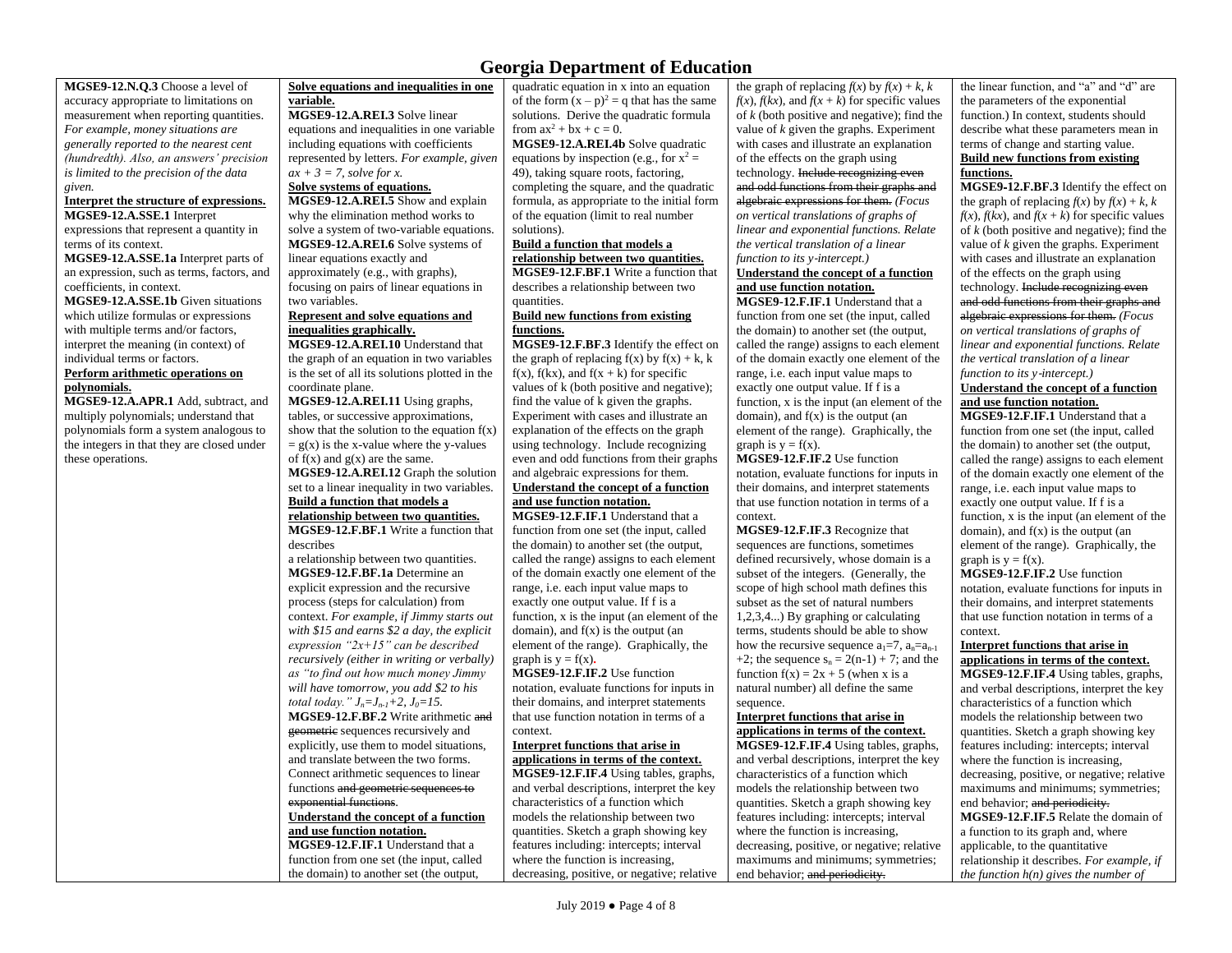**MGSE9-12.N.Q.3** Choose a level of accuracy appropriate to limitations on measurement when reporting quantities. *For example, money situations are generally reported to the nearest cent (hundredth). Also, an answers' precision is limited to the precision of the data given.*

#### **Interpret the structure of expressions. MGSE9-12.A.SSE.1** Interpret

expressions that represent a quantity in terms of its context.

**MGSE9-12.A.SSE.1a** Interpret parts of an expression, such as terms, factors, and coefficients, in context.

**MGSE9-12.A.SSE.1b** Given situations which utilize formulas or expressions with multiple terms and/or factors, interpret the meaning (in context) of individual terms or factors.

#### **Perform arithmetic operations on polynomials.**

**MGSE9-12.A.APR.1** Add, subtract, and multiply polynomials; understand that polynomials form a system analogous to the integers in that they are closed under these operations.

**Solve equations and inequalities in one variable.**

**MGSE9-12.A.REI.3** Solve linear equations and inequalities in one variable including equations with coefficients represented by letters. *For example, given*   $ax + 3 = 7$ *, solve for x.* 

#### **Solve systems of equations.**

**MGSE9-12.A.REI.5** Show and explain why the elimination method works to solve a system of two-variable equations. **MGSE9-12.A.REI.6** Solve systems of linear equations exactly and approximately (e.g., with graphs), focusing on pairs of linear equations in two variables.

#### **Represent and solve equations and inequalities graphically.**

**MGSE9-12.A.REI.10** Understand that the graph of an equation in two variables is the set of all its solutions plotted in the coordinate plane.

**MGSE9-12.A.REI.11** Using graphs, tables, or successive approximations, show that the solution to the equation  $f(x)$  $= g(x)$  is the x-value where the y-values of  $f(x)$  and  $g(x)$  are the same.

**MGSE9-12.A.REI.12** Graph the solution set to a linear inequality in two variables. **Build a function that models a** 

## **relationship between two quantities.**

**MGSE9-12.F.BF.1** Write a function that describes

a relationship between two quantities. **MGSE9-12.F.BF.1a** Determine an explicit expression and the recursive process (steps for calculation) from context. *For example, if Jimmy starts out with \$15 and earns \$2 a day, the explicit expression "2x+15" can be described recursively (either in writing or verbally) as "to find out how much money Jimmy will have tomorrow, you add \$2 to his total today.*"  $J_n = J_{n-1} + 2$ ,  $J_0 = 15$ . **MGSE9-12.F.BF.2** Write arithmetic and geometric sequences recursively and explicitly, use them to model situations, and translate between the two forms. Connect arithmetic sequences to linear functions and geometric sequences to

### exponential functions.

**Understand the concept of a function and use function notation.**

**MGSE9-12.F.IF.1** Understand that a function from one set (the input, called the domain) to another set (the output,

quadratic equation in x into an equation of the form  $(x - p)^2 = q$  that has the same solutions. Derive the quadratic formula from  $ax^2 + bx + c = 0$ .

**MGSE9-12.A.REI.4b** Solve quadratic equations by inspection (e.g., for  $x^2 =$ 49), taking square roots, factoring, completing the square, and the quadratic formula, as appropriate to the initial form of the equation (limit to real number

#### solutions). **Build a function that models a**

**relationship between two quantities. MGSE9-12.F.BF.1** Write a function that describes a relationship between two quantities.

#### **Build new functions from existing functions.**

**MGSE9-12.F.BF.3** Identify the effect on the graph of replacing  $f(x)$  by  $f(x) + k$ , k  $f(x)$ ,  $f(kx)$ , and  $f(x + k)$  for specific values of k (both positive and negative); find the value of k given the graphs. Experiment with cases and illustrate an explanation of the effects on the graph using technology. Include recognizing even and odd functions from their graphs and algebraic expressions for them.

#### **Understand the concept of a function and use function notation.**

**MGSE9-12.F.IF.1** Understand that a function from one set (the input, called the domain) to another set (the output, called the range) assigns to each element of the domain exactly one element of the range, i.e. each input value maps to exactly one output value. If f is a function, x is the input (an element of the domain), and  $f(x)$  is the output (an element of the range). Graphically, the graph is  $y = f(x)$ .

**MGSE9-12.F.IF.2** Use function notation, evaluate functions for inputs in their domains, and interpret statements that use function notation in terms of a context.

#### **Interpret functions that arise in applications in terms of the context.**

**MGSE9-12.F.IF.4** Using tables, graphs, and verbal descriptions, interpret the key characteristics of a function which models the relationship between two quantities. Sketch a graph showing key features including: intercepts; interval where the function is increasing, decreasing, positive, or negative; relative

the graph of replacing  $f(x)$  by  $f(x) + k$ , *k*  $f(x)$ ,  $f(kx)$ , and  $f(x + k)$  for specific values of *k* (both positive and negative); find the value of *k* given the graphs. Experiment with cases and illustrate an explanation of the effects on the graph using technology. Include recognizing even and odd functions from their graphs and algebraic expressions for them. *(Focus on vertical translations of graphs of linear and exponential functions. Relate the vertical translation of a linear function to its y*‐*intercept.)*

#### **Understand the concept of a function and use function notation.**

**MGSE9-12.F.IF.1** Understand that a function from one set (the input, called the domain) to another set (the output, called the range) assigns to each element of the domain exactly one element of the range, i.e. each input value maps to exactly one output value. If f is a function, x is the input (an element of the domain), and  $f(x)$  is the output (an element of the range). Graphically, the graph is  $y = f(x)$ .

**MGSE9-12.F.IF.2** Use function notation, evaluate functions for inputs in their domains, and interpret statements that use function notation in terms of a context.

**MGSE9-12.F.IF.3** Recognize that sequences are functions, sometimes defined recursively, whose domain is a subset of the integers. (Generally, the scope of high school math defines this subset as the set of natural numbers 1,2,3,4...) By graphing or calculating terms, students should be able to show how the recursive sequence  $a_1=7$ ,  $a_n=a_{n-1}$ +2; the sequence  $s_n = 2(n-1) + 7$ ; and the function  $f(x) = 2x + 5$  (when x is a natural number) all define the same sequence.

#### **Interpret functions that arise in applications in terms of the context.**

**MGSE9-12.F.IF.4** Using tables, graphs, and verbal descriptions, interpret the key characteristics of a function which models the relationship between two quantities. Sketch a graph showing key features including: intercepts; interval where the function is increasing, decreasing, positive, or negative; relative maximums and minimums; symmetries; end behavior; and periodicity.

the linear function, and "a" and "d" are the parameters of the exponential function.) In context, students should describe what these parameters mean in terms of change and starting value. **Build new functions from existing functions.**

**MGSE9**‐**12.F.BF.3** Identify the effect on the graph of replacing  $f(x)$  by  $f(x) + k$ , *k*  $f(x)$ ,  $f(kx)$ , and  $f(x + k)$  for specific values of *k* (both positive and negative); find the value of *k* given the graphs. Experiment with cases and illustrate an explanation of the effects on the graph using

#### technology. Include recognizing even and odd functions from their graphs and algebraic expressions for them. *(Focus on vertical translations of graphs of*

*linear and exponential functions. Relate the vertical translation of a linear function to its y*‐*intercept.)*

#### **Understand the concept of a function and use function notation.**

**MGSE9-12.F.IF.1** Understand that a function from one set (the input, called the domain) to another set (the output, called the range) assigns to each element of the domain exactly one element of the range, i.e. each input value maps to exactly one output value. If f is a function, x is the input (an element of the domain), and  $f(x)$  is the output (an element of the range). Graphically, the graph is  $y = f(x)$ .

**MGSE9-12.F.IF.2** Use function notation, evaluate functions for inputs in their domains, and interpret statements that use function notation in terms of a context.

#### **Interpret functions that arise in applications in terms of the context.**

**MGSE9-12.F.IF.4** Using tables, graphs, and verbal descriptions, interpret the key characteristics of a function which models the relationship between two quantities. Sketch a graph showing key features including: intercepts; interval where the function is increasing, decreasing, positive, or negative; relative maximums and minimums; symmetries; end behavior; and periodicity. **MGSE9-12.F.IF.5** Relate the domain of a function to its graph and, where applicable, to the quantitative relationship it describes. *For example, if the function h(n) gives the number of*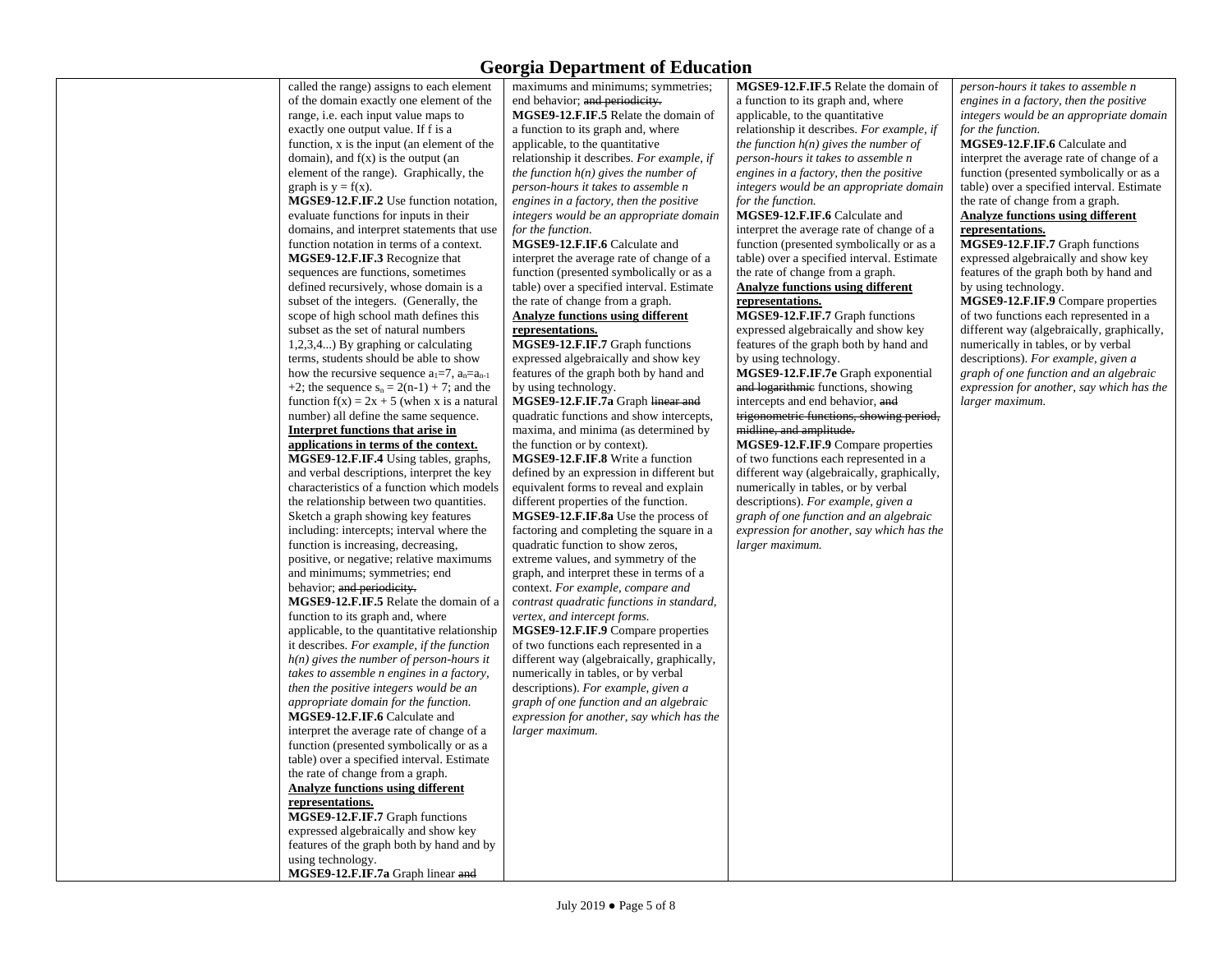called the range) assigns to each element of the domain exactly one element of the range, i.e. each input value maps to exactly one output value. If f is a function, x is the input (an element of the domain), and  $f(x)$  is the output (an element of the range). Graphically, the graph is  $y = f(x)$ . **MGSE9-12.F.IF.2** Use function notation, evaluate functions for inputs in their domains, and interpret statements that use function notation in terms of a context. **MGSE9-12.F.IF.3** Recognize that sequences are functions, sometimes defined recursively, whose domain is a subset of the integers. (Generally, the scope of high school math defines this subset as the set of natural numbers 1,2,3,4...) By graphing or calculating terms, students should be able to show how the recursive sequence  $a_1=7$ ,  $a_n=a_{n-1}$ +2; the sequence  $s_n = 2(n-1) + 7$ ; and the function  $f(x) = 2x + 5$  (when x is a natural number) all define the same sequence. **Interpret functions that arise in applications in terms of the context. MGSE9-12.F.IF.4** Using tables, graphs, and verbal descriptions, interpret the key characteristics of a function which models the relationship between two quantities. Sketch a graph showing key features including: intercepts; interval where the function is increasing, decreasing, positive, or negative; relative maximums and minimums; symmetries; end behavior; and periodicity. **MGSE9-12.F.IF.5** Relate the domain of a function to its graph and, where applicable, to the quantitative relationship it describes. *For example, if the function h(n) gives the number of person-hours it takes to assemble n engines in a factory, then the positive integers would be an appropriate domain for the function.* **MGSE9-12.F.IF.6** Calculate and interpret the average rate of change of a function (presented symbolically or as a table) over a specified interval. Estimate the rate of change from a graph. **Analyze functions using different representations. MGSE9-12.F.IF.7** Graph functions expressed algebraically and show key features of the graph both by hand and by using technology.

**MGSE9-12.F.IF.7a** Graph linear and

maximums and minimums; symmetries; end behavior; and periodicity. **MGSE9-12.F.IF.5** Relate the domain of a function to its graph and, where applicable, to the quantitative relationship it describes. *For example, if the function h(n) gives the number of person-hours it takes to assemble n engines in a factory, then the positive integers would be an appropriate domain for the function.* **MGSE9-12.F.IF.6** Calculate and interpret the average rate of change of a

function (presented symbolically or as a table) over a specified interval. Estimate the rate of change from a graph. **Analyze functions using different** 

#### **representations.**

**MGSE9-12.F.IF.7** Graph functions expressed algebraically and show key features of the graph both by hand and by using technology.

**MGSE9-12.F.IF.7a** Graph linear and quadratic functions and show intercepts, maxima, and minima (as determined by the function or by context).

**MGSE9-12.F.IF.8** Write a function defined by an expression in different but equivalent forms to reveal and explain different properties of the function. **MGSE9-12.F.IF.8a** Use the process of factoring and completing the square in a quadratic function to show zeros, extreme values, and symmetry of the graph, and interpret these in terms of a context. *For example, compare and contrast quadratic functions in standard,* 

*vertex, and intercept forms.* **MGSE9-12.F.IF.9** Compare properties of two functions each represented in a different way (algebraically, graphically, numerically in tables, or by verbal descriptions). *For example, given a graph of one function and an algebraic expression for another, say which has the larger maximum.*

**MGSE9-12.F.IF.5** Relate the domain of a function to its graph and, where applicable, to the quantitative relationship it describes. *For example, if the function h(n) gives the number of person-hours it takes to assemble n engines in a factory, then the positive integers would be an appropriate domain for the function.*

**MGSE9-12.F.IF.6** Calculate and interpret the average rate of change of a function (presented symbolically or as a table) over a specified interval. Estimate the rate of change from a graph.

#### **Analyze functions using different representations.**

**MGSE9-12.F.IF.7** Graph functions expressed algebraically and show key features of the graph both by hand and by using technology.

**MGSE9-12.F.IF.7e** Graph exponential and logarithmic functions, showing intercepts and end behavior, and

trigonometric functions, showing period, midline, and amplitude.

**MGSE9-12.F.IF.9** Compare properties of two functions each represented in a different way (algebraically, graphically, numerically in tables, or by verbal descriptions). *For example, given a graph of one function and an algebraic expression for another, say which has the larger maximum.*

*person-hours it takes to assemble n engines in a factory, then the positive integers would be an appropriate domain for the function.*

**MGSE9-12.F.IF.6** Calculate and interpret the average rate of change of a function (presented symbolically or as a table) over a specified interval. Estimate the rate of change from a graph. **Analyze functions using different** 

#### **representations.**

**MGSE9-12.F.IF.7** Graph functions expressed algebraically and show key features of the graph both by hand and by using technology.

**MGSE9-12.F.IF.9** Compare properties of two functions each represented in a different way (algebraically, graphically, numerically in tables, or by verbal descriptions). *For example, given a graph of one function and an algebraic expression for another, say which has the larger maximum.*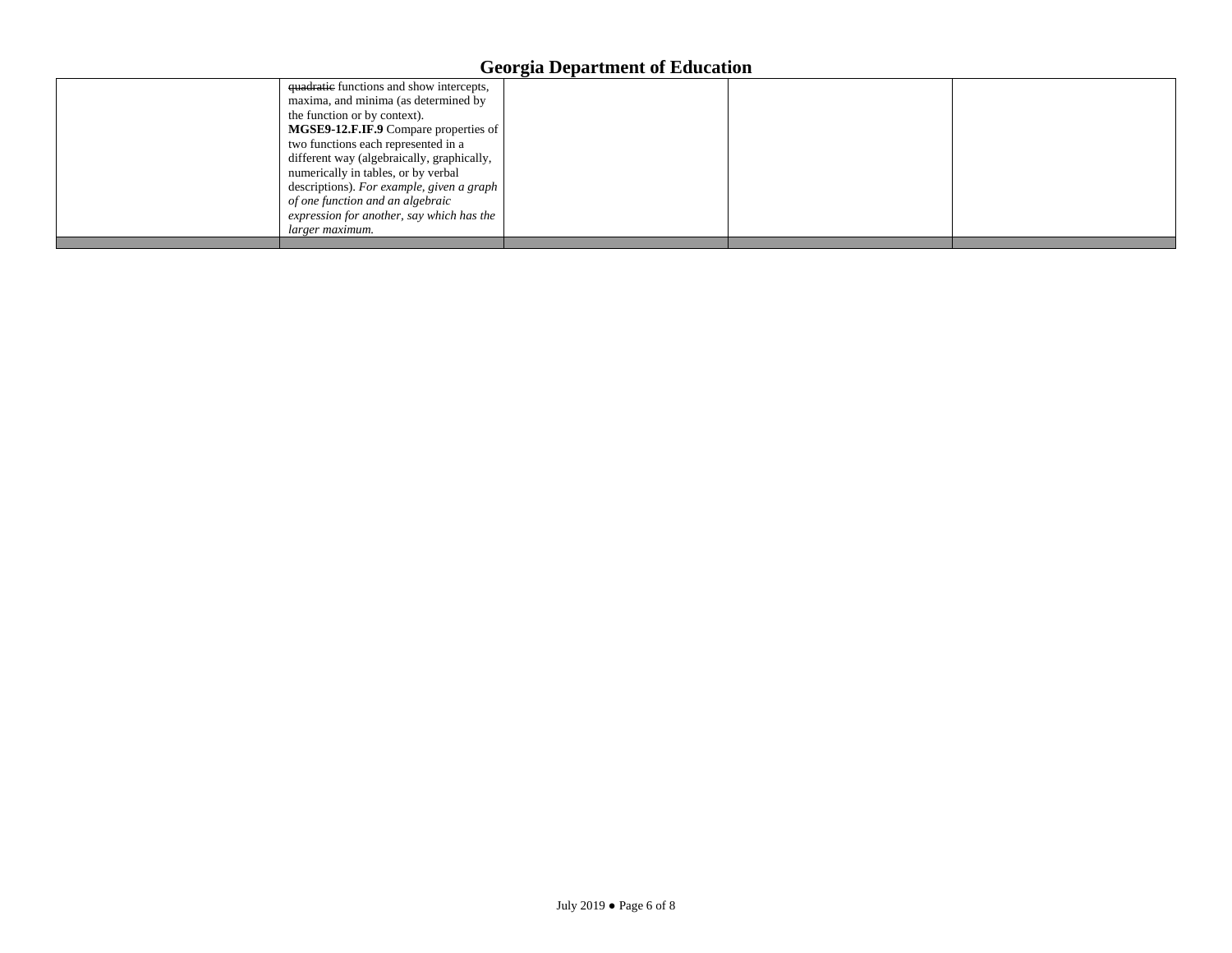| quadratic functions and show intercepts,<br>maxima, and minima (as determined by  | ້ |  |
|-----------------------------------------------------------------------------------|---|--|
| the function or by context).<br>MGSE9-12.F.IF.9 Compare properties of             |   |  |
| two functions each represented in a<br>different way (algebraically, graphically, |   |  |
| numerically in tables, or by verbal<br>descriptions). For example, given a graph  |   |  |
| of one function and an algebraic<br>expression for another, say which has the     |   |  |
| larger maximum.                                                                   |   |  |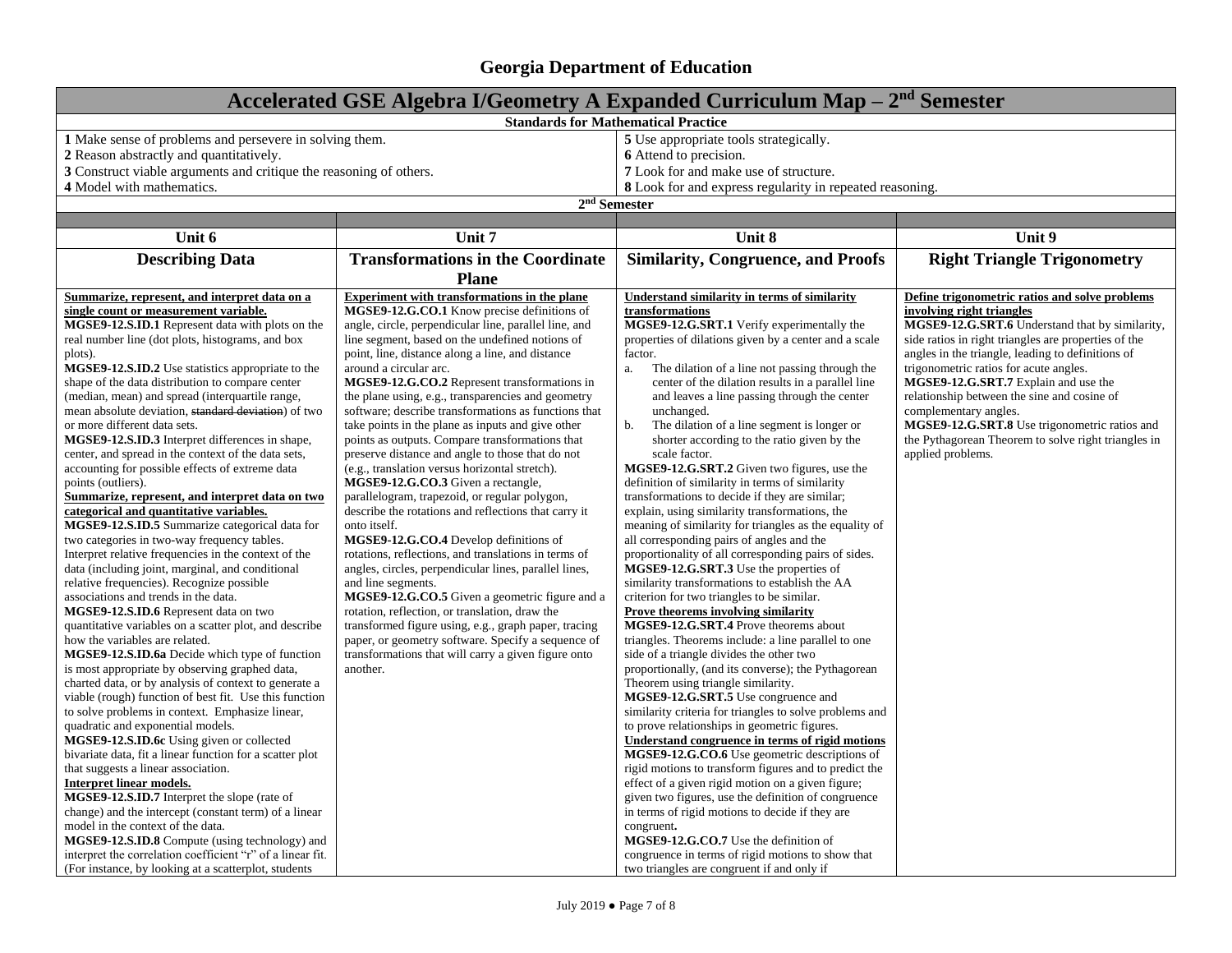| Accelerated GSE Algebra I/Geometry A Expanded Curriculum Map $-2nd$ Semester   |                                                                                      |                                                                                                 |                                                      |  |  |
|--------------------------------------------------------------------------------|--------------------------------------------------------------------------------------|-------------------------------------------------------------------------------------------------|------------------------------------------------------|--|--|
|                                                                                | <b>Standards for Mathematical Practice</b>                                           |                                                                                                 |                                                      |  |  |
| 1 Make sense of problems and persevere in solving them.                        |                                                                                      | 5 Use appropriate tools strategically.                                                          |                                                      |  |  |
| 2 Reason abstractly and quantitatively.                                        |                                                                                      | 6 Attend to precision.                                                                          |                                                      |  |  |
| 3 Construct viable arguments and critique the reasoning of others.             |                                                                                      | 7 Look for and make use of structure.                                                           |                                                      |  |  |
| 4 Model with mathematics.                                                      |                                                                                      | 8 Look for and express regularity in repeated reasoning.                                        |                                                      |  |  |
|                                                                                | $2nd$ Semester                                                                       |                                                                                                 |                                                      |  |  |
|                                                                                |                                                                                      |                                                                                                 |                                                      |  |  |
| Unit 6                                                                         | Unit 7                                                                               | Unit 8                                                                                          | Unit 9                                               |  |  |
| <b>Describing Data</b>                                                         | <b>Transformations in the Coordinate</b>                                             | <b>Similarity, Congruence, and Proofs</b>                                                       | <b>Right Triangle Trigonometry</b>                   |  |  |
|                                                                                | <b>Plane</b>                                                                         |                                                                                                 |                                                      |  |  |
| Summarize, represent, and interpret data on a                                  | <b>Experiment with transformations in the plane</b>                                  | <b>Understand similarity in terms of similarity</b>                                             | Define trigonometric ratios and solve problems       |  |  |
| single count or measurement variable.                                          | MGSE9-12.G.CO.1 Know precise definitions of                                          | transformations                                                                                 | involving right triangles                            |  |  |
| MGSE9-12.S.ID.1 Represent data with plots on the                               | angle, circle, perpendicular line, parallel line, and                                | MGSE9-12.G.SRT.1 Verify experimentally the                                                      | MGSE9-12.G.SRT.6 Understand that by similarity,      |  |  |
| real number line (dot plots, histograms, and box                               | line segment, based on the undefined notions of                                      | properties of dilations given by a center and a scale                                           | side ratios in right triangles are properties of the |  |  |
| plots).                                                                        | point, line, distance along a line, and distance                                     | factor.                                                                                         | angles in the triangle, leading to definitions of    |  |  |
| <b>MGSE9-12.S.ID.2</b> Use statistics appropriate to the                       | around a circular arc.                                                               | The dilation of a line not passing through the<br>a.                                            | trigonometric ratios for acute angles.               |  |  |
| shape of the data distribution to compare center                               | MGSE9-12.G.CO.2 Represent transformations in                                         | center of the dilation results in a parallel line                                               | MGSE9-12.G.SRT.7 Explain and use the                 |  |  |
| (median, mean) and spread (interquartile range,                                | the plane using, e.g., transparencies and geometry                                   | and leaves a line passing through the center                                                    | relationship between the sine and cosine of          |  |  |
| mean absolute deviation, standard deviation) of two                            | software; describe transformations as functions that                                 | unchanged.                                                                                      | complementary angles.                                |  |  |
| or more different data sets.                                                   | take points in the plane as inputs and give other                                    | b.<br>The dilation of a line segment is longer or                                               | MGSE9-12.G.SRT.8 Use trigonometric ratios and        |  |  |
| MGSE9-12.S.ID.3 Interpret differences in shape,                                | points as outputs. Compare transformations that                                      | shorter according to the ratio given by the<br>scale factor.                                    | the Pythagorean Theorem to solve right triangles in  |  |  |
| center, and spread in the context of the data sets,                            | preserve distance and angle to those that do not                                     | MGSE9-12.G.SRT.2 Given two figures, use the                                                     | applied problems.                                    |  |  |
| accounting for possible effects of extreme data<br>points (outliers).          | (e.g., translation versus horizontal stretch).<br>MGSE9-12.G.CO.3 Given a rectangle, | definition of similarity in terms of similarity                                                 |                                                      |  |  |
| Summarize, represent, and interpret data on two                                | parallelogram, trapezoid, or regular polygon,                                        | transformations to decide if they are similar;                                                  |                                                      |  |  |
| categorical and quantitative variables.                                        | describe the rotations and reflections that carry it                                 | explain, using similarity transformations, the                                                  |                                                      |  |  |
| MGSE9-12.S.ID.5 Summarize categorical data for                                 | onto itself.                                                                         | meaning of similarity for triangles as the equality of                                          |                                                      |  |  |
| two categories in two-way frequency tables.                                    | MGSE9-12.G.CO.4 Develop definitions of                                               | all corresponding pairs of angles and the                                                       |                                                      |  |  |
| Interpret relative frequencies in the context of the                           | rotations, reflections, and translations in terms of                                 | proportionality of all corresponding pairs of sides.                                            |                                                      |  |  |
| data (including joint, marginal, and conditional                               | angles, circles, perpendicular lines, parallel lines,                                | MGSE9-12.G.SRT.3 Use the properties of                                                          |                                                      |  |  |
| relative frequencies). Recognize possible                                      | and line segments.                                                                   | similarity transformations to establish the AA                                                  |                                                      |  |  |
| associations and trends in the data.                                           | MGSE9-12.G.CO.5 Given a geometric figure and a                                       | criterion for two triangles to be similar.                                                      |                                                      |  |  |
| MGSE9-12.S.ID.6 Represent data on two                                          | rotation, reflection, or translation, draw the                                       | <b>Prove theorems involving similarity</b>                                                      |                                                      |  |  |
| quantitative variables on a scatter plot, and describe                         | transformed figure using, e.g., graph paper, tracing                                 | MGSE9-12.G.SRT.4 Prove theorems about                                                           |                                                      |  |  |
| how the variables are related.                                                 | paper, or geometry software. Specify a sequence of                                   | triangles. Theorems include: a line parallel to one                                             |                                                      |  |  |
| MGSE9-12.S.ID.6a Decide which type of function                                 | transformations that will carry a given figure onto                                  | side of a triangle divides the other two                                                        |                                                      |  |  |
| is most appropriate by observing graphed data,                                 | another.                                                                             | proportionally, (and its converse); the Pythagorean                                             |                                                      |  |  |
| charted data, or by analysis of context to generate a                          |                                                                                      | Theorem using triangle similarity.                                                              |                                                      |  |  |
| viable (rough) function of best fit. Use this function                         |                                                                                      | MGSE9-12.G.SRT.5 Use congruence and                                                             |                                                      |  |  |
| to solve problems in context. Emphasize linear,                                |                                                                                      | similarity criteria for triangles to solve problems and                                         |                                                      |  |  |
| quadratic and exponential models.<br>MGSE9-12.S.ID.6c Using given or collected |                                                                                      | to prove relationships in geometric figures.<br>Understand congruence in terms of rigid motions |                                                      |  |  |
| bivariate data, fit a linear function for a scatter plot                       |                                                                                      | MGSE9-12.G.CO.6 Use geometric descriptions of                                                   |                                                      |  |  |
| that suggests a linear association.                                            |                                                                                      | rigid motions to transform figures and to predict the                                           |                                                      |  |  |
| <b>Interpret linear models.</b>                                                |                                                                                      | effect of a given rigid motion on a given figure;                                               |                                                      |  |  |
| MGSE9-12.S.ID.7 Interpret the slope (rate of                                   |                                                                                      | given two figures, use the definition of congruence                                             |                                                      |  |  |
| change) and the intercept (constant term) of a linear                          |                                                                                      | in terms of rigid motions to decide if they are                                                 |                                                      |  |  |
| model in the context of the data.                                              |                                                                                      | congruent.                                                                                      |                                                      |  |  |
| MGSE9-12.S.ID.8 Compute (using technology) and                                 |                                                                                      | MGSE9-12.G.CO.7 Use the definition of                                                           |                                                      |  |  |
| interpret the correlation coefficient "r" of a linear fit.                     |                                                                                      | congruence in terms of rigid motions to show that                                               |                                                      |  |  |
| (For instance, by looking at a scatterplot, students                           |                                                                                      | two triangles are congruent if and only if                                                      |                                                      |  |  |